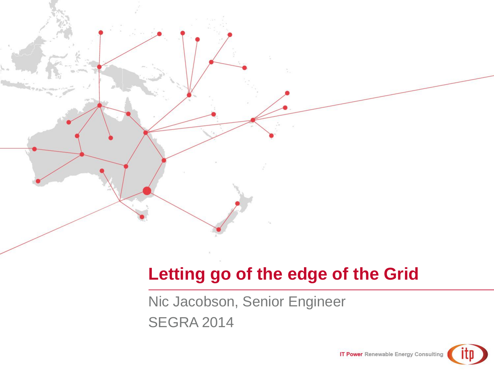

# **Letting go of the edge of the Grid**

Nic Jacobson, Senior Engineer SEGRA 2014

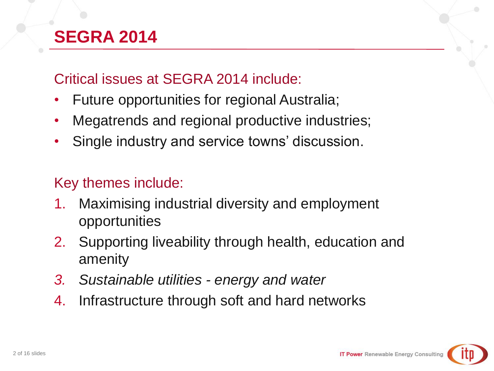# **SEGRA 2014**

#### Critical issues at SEGRA 2014 include:

- Future opportunities for regional Australia;
- Megatrends and regional productive industries;
- Single industry and service towns' discussion.

#### Key themes include:

- 1. Maximising industrial diversity and employment opportunities
- 2. Supporting liveability through health, education and amenity
- *3. Sustainable utilities - energy and water*
- 4. Infrastructure through soft and hard networks

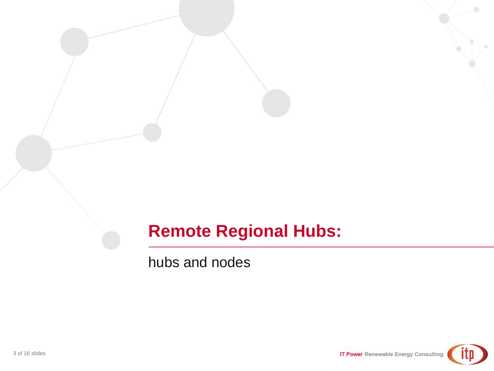## **Remote Regional Hubs:**

hubs and nodes

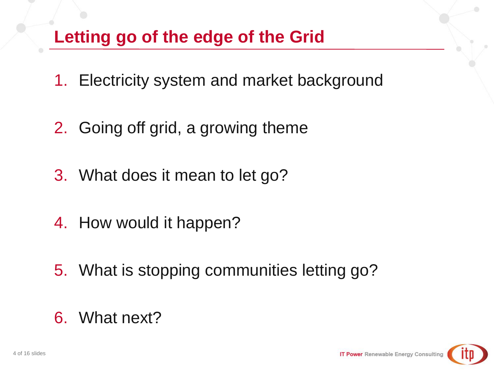# **Letting go of the edge of the Grid**

- 1. Electricity system and market background
- 2. Going off grid, a growing theme
- 3. What does it mean to let go?
- 4. How would it happen?
- 5. What is stopping communities letting go?

# 6. What next?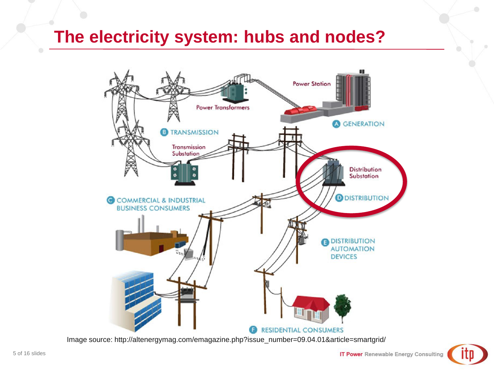#### **The electricity system: hubs and nodes?**



Image source: http://altenergymag.com/emagazine.php?issue\_number=09.04.01&article=smartgrid/

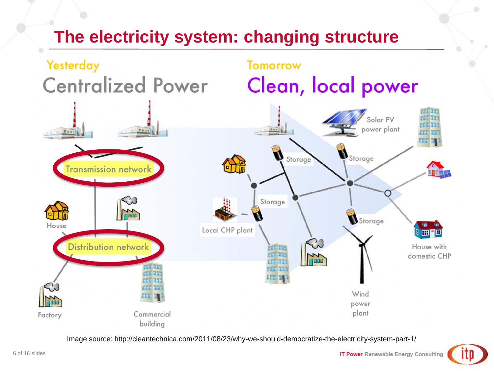# **The electricity system: changing structure**



Image source: http://cleantechnica.com/2011/08/23/why-we-should-democratize-the-electricity-system-part-1/

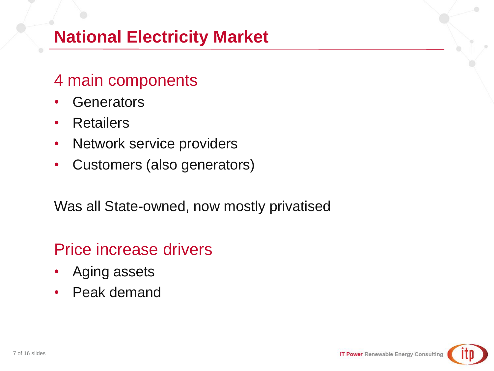# **National Electricity Market**

#### 4 main components

- Generators
- Retailers
- Network service providers
- Customers (also generators)

Was all State-owned, now mostly privatised

#### Price increase drivers

- Aging assets
- Peak demand

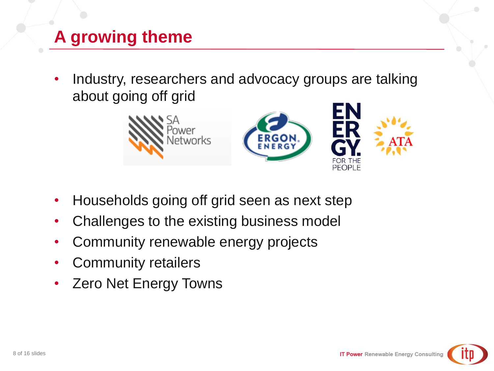# **A growing theme**

• Industry, researchers and advocacy groups are talking about going off grid



- Households going off grid seen as next step
- Challenges to the existing business model
- Community renewable energy projects
- Community retailers
- Zero Net Energy Towns

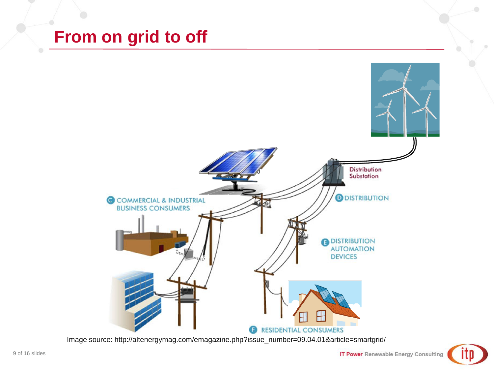#### **From on grid to off**



Image source: http://altenergymag.com/emagazine.php?issue\_number=09.04.01&article=smartgrid/

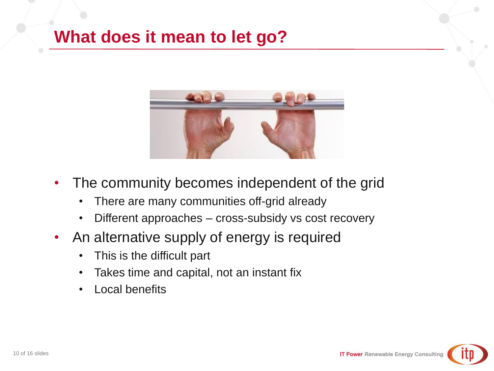## **What does it mean to let go?**



- The community becomes independent of the grid
	- There are many communities off-grid already
	- Different approaches cross-subsidy vs cost recovery
- An alternative supply of energy is required
	- This is the difficult part
	- Takes time and capital, not an instant fix
	- Local benefits

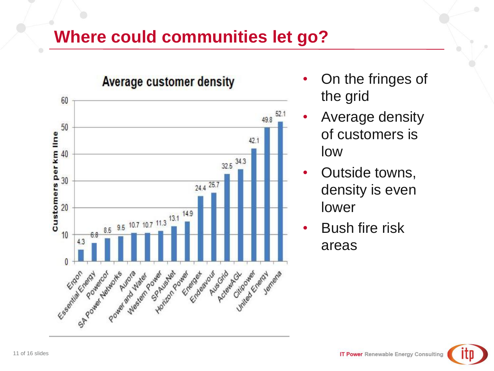## **Where could communities let go?**



- On the fringes of the grid
- Average density of customers is low
- Outside towns, density is even lower
- **Bush fire risk** areas

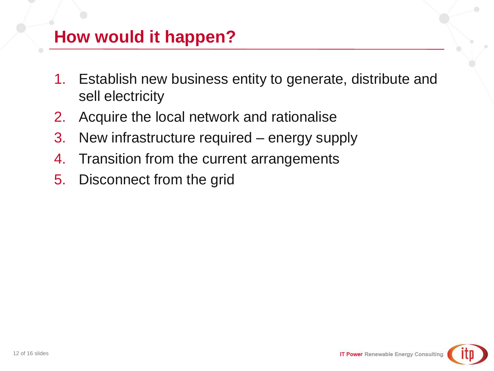# **How would it happen?**

- 1. Establish new business entity to generate, distribute and sell electricity
- 2. Acquire the local network and rationalise
- 3. New infrastructure required energy supply
- 4. Transition from the current arrangements
- 5. Disconnect from the grid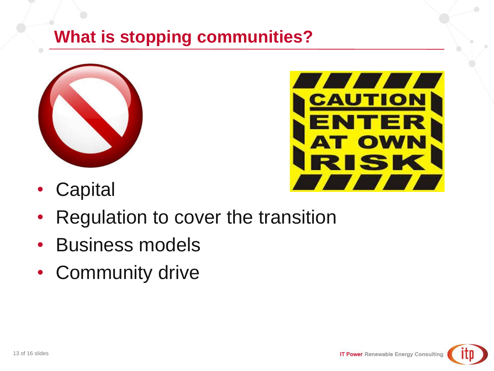# **What is stopping communities?**





- Capital
- Regulation to cover the transition
- Business models
- Community drive

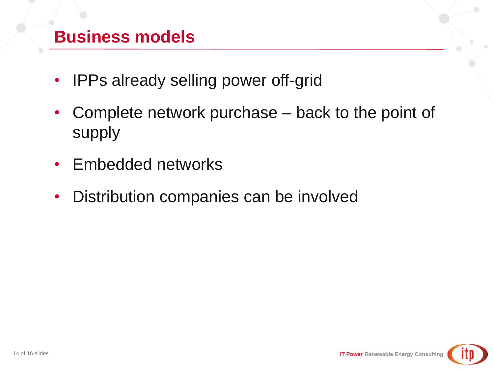## **Business models**

- IPPs already selling power off-grid
- Complete network purchase back to the point of supply
- Embedded networks
- Distribution companies can be involved

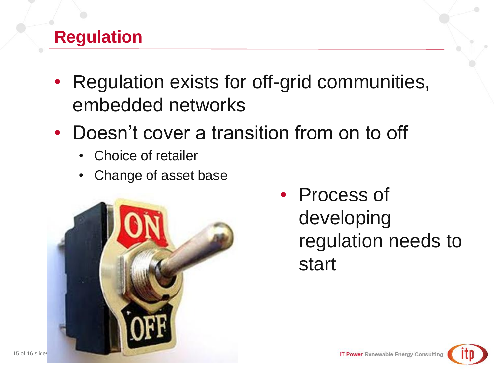# **Regulation**

- Regulation exists for off-grid communities, embedded networks
- Doesn't cover a transition from on to off
	- Choice of retailer
	- Change of asset base



• Process of developing regulation needs to start

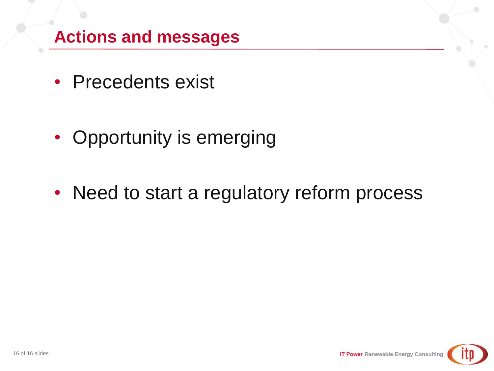# **Actions and messages**

- Precedents exist
- Opportunity is emerging
- Need to start a regulatory reform process